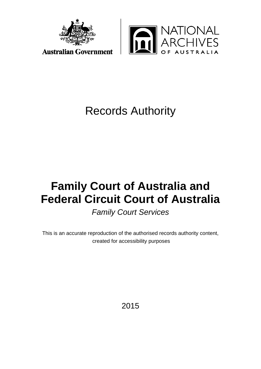



# Records Authority

# **Family Court of Australia and Federal Circuit Court of Australia**

*Family Court Services*

This is an accurate reproduction of the authorised records authority content, created for accessibility purposes

2015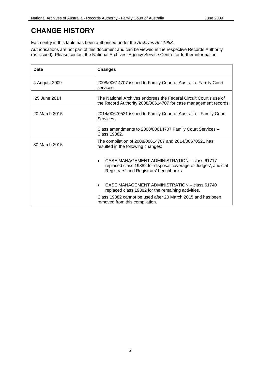# **CHANGE HISTORY**

Each entry in this table has been authorised under the *Archives Act 1983*.

Authorisations are not part of this document and can be viewed in the respective Records Authority (as issued). Please contact the National Archives' Agency Service Centre for further information.

| <b>Date</b>   | <b>Changes</b>                                                                                                                                             |  |
|---------------|------------------------------------------------------------------------------------------------------------------------------------------------------------|--|
| 4 August 2009 | 2008/00614707 issued to Family Court of Australia- Family Court<br>services.                                                                               |  |
| 25 June 2014  | The National Archives endorses the Federal Circuit Court's use of<br>the Record Authority 2008/00614707 for case management records.                       |  |
| 20 March 2015 | 2014/00670521 issued to Family Court of Australia - Family Court<br>Services.                                                                              |  |
|               | Class amendments to 2008/00614707 Family Court Services -<br>Class 19882.                                                                                  |  |
| 30 March 2015 | The compilation of 2008/00614707 and 2014/00670521 has<br>resulted in the following changes:                                                               |  |
|               | CASE MANAGEMENT ADMINISTRATION - class 61717<br>replaced class 19882 for disposal coverage of Judges', Judicial<br>Registrars' and Registrars' benchbooks. |  |
|               | CASE MANAGEMENT ADMINISTRATION - class 61740<br>replaced class 19882 for the remaining activities.                                                         |  |
|               | Class 19882 cannot be used after 20 March 2015 and has been<br>removed from this compilation.                                                              |  |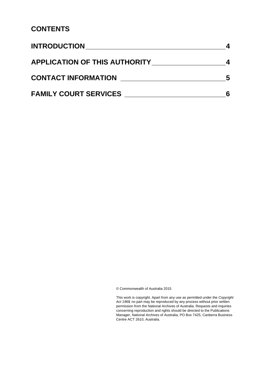# **CONTENTS**

| <b>INTRODUCTION</b>                  |  |
|--------------------------------------|--|
| <b>APPLICATION OF THIS AUTHORITY</b> |  |
| <b>CONTACT INFORMATION</b>           |  |
| <b>FAMILY COURT SERVICES</b>         |  |

© Commonwealth of Australia 2015

<span id="page-2-0"></span>This work is copyright. Apart from any use as permitted under the *Copyright Act 1968,* no part may be reproduced by any process without prior written permission from the National Archives of Australia. Requests and inquiries concerning reproduction and rights should be directed to the Publications Manager, National Archives of Australia, PO Box 7425, Canberra Business Centre ACT 2610, Australia.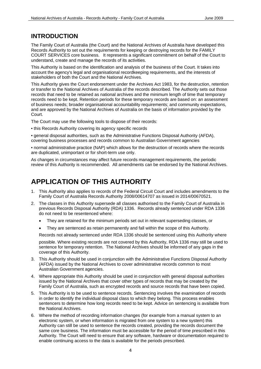# **INTRODUCTION**

The Family Court of Australia (the Court) and the National Archives of Australia have developed this Records Authority to set out the requirements for keeping or destroying records for the FAMILY COURT SERVICES core business. It represents a significant commitment on behalf of the Court to understand, create and manage the records of its activities.

This Authority is based on the identification and analysis of the business of the Court. It takes into account the agency's legal and organisational recordkeeping requirements, and the interests of stakeholders of both the Court and the National Archives.

This Authority gives the Court endorsement under the Archives Act 1983, for the destruction, retention or transfer to the National Archives of Australia of the records described. The Authority sets out those records that need to be retained as national archives and the minimum length of time that temporary records need to be kept. Retention periods for these temporary records are based on: an assessment of business needs; broader organisational accountability requirements; and community expectations, and are approved by the National Archives of Australia on the basis of information provided by the Court.

The Court may use the following tools to dispose of their records:

• this Records Authority covering its agency specific records

• general disposal authorities, such as the Administrative Functions Disposal Authority (AFDA), covering business processes and records common to Australian Government agencies

• normal administrative practice (NAP) which allows for the destruction of records where the records are duplicated, unimportant or for short-term use only.

<span id="page-3-0"></span>As changes in circumstances may affect future records management requirements, the periodic review of this Authority is recommended. All amendments can be endorsed by the National Archives.

# **APPLICATION OF THIS AUTHORITY**

- 1. This Authority also applies to records of the Federal Circuit Court and includes amendments to the Family Court of Australia Records Authority 2008/00614707 as issued in 2014/00670521.
- 2. The classes in this Authority supersede all classes authorised to the Family Court of Australia in previous Records Disposal Authority (RDA) 1336. Records already sentenced under RDA 1336 do not need to be resentenced where:
	- They are retained for the minimum periods set out in relevant superseding classes, or
	- They are sentenced as retain permanently and fall within the scope of this Authority.

Records not already sentenced under RDA 1336 should be sentenced using this Authority where

possible. Where existing records are not covered by this Authority, RDA 1336 may still be used to sentence for temporary retention. The National Archives should be informed of any gaps in the coverage of this Authority.

- 3. This Authority should be used in conjunction with the Administrative Functions Disposal Authority (AFDA) issued by the National Archives to cover administrative records common to most Australian Government agencies.
- 4. Where appropriate this Authority should be used in conjunction with general disposal authorities issued by the National Archives that cover other types of records that may be created by the Family Court of Australia, such as encrypted records and source records that have been copied.
- 5. This Authority is to be used to sentence records. Sentencing involves the examination of records in order to identify the individual disposal class to which they belong. This process enables sentencers to determine how long records need to be kept. Advice on sentencing is available from the National Archives.
- 6. Where the method of recording information changes (for example from a manual system to an electronic system, or when information is migrated from one system to a new system) this Authority can still be used to sentence the records created, providing the records document the same core business. The information must be accessible for the period of time prescribed in this Authority. The Court will need to ensure that any software, hardware or documentation required to enable continuing access to the data is available for the periods prescribed.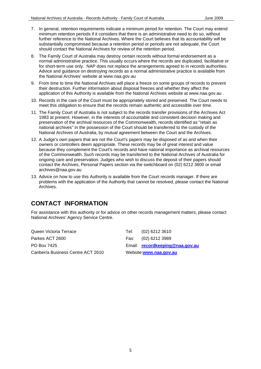- 7. In general, retention requirements indicate a minimum period for retention. The Court may extend minimum retention periods if it considers that there is an administrative need to do so, without further reference to the National Archives. Where the Court believes that its accountability will be substantially compromised because a retention period or periods are not adequate, the Court should contact the National Archives for review of the retention period.
- 8. The Family Court of Australia may destroy certain records without formal endorsement as a normal administrative practice. This usually occurs where the records are duplicated, facilitative or for short-term use only. NAP does not replace the arrangements agreed to in records authorities. Advice and guidance on destroying records as a normal administrative practice is available from the National Archives' website at [www.naa.gov.au](http://www.naa.gov.au/)
- 9. From time to time the National Archives will place a freeze on some groups of records to prevent their destruction. Further information about disposal freezes and whether they affect the application of this Authority is available from the National Archives website at [www.naa.gov.au](http://www.naa.gov.au/) .
- 10. Records in the care of the Court must be appropriately stored and preserved. The Court needs to meet this obligation to ensure that the records remain authentic and accessible over time.
- 11. The Family Court of Australia is not subject to the records transfer provisions of the Archives Act 1983 at present. However, in the interests of accountable and consistent decision making and preservation of the archival resources of the Commonwealth, records identified as "retain as national archives" in the possession of the Court should be transferred to the custody of the National Archives of Australia, by mutual agreement between the Court and the Archives.
- 12. A Judge's own papers that are not the Court's papers may be disposed of as and when their owners or controllers deem appropriate. These records may be of great interest and value because they complement the Court's records and have national importance as archival resources of the Commonwealth. Such records may be transferred to the National Archives of Australia for ongoing care and preservation. Judges who wish to discuss the deposit of their papers should contact the Archives, Personal Papers section via the switchboard on (02) 6212 3600 or email [archives@naa.gov.au](mailto:archives@naa.gov.au)
- 13. Advice on how to use this Authority is available from the Court records manager. If there are problems with the application of the Authority that cannot be resolved, please contact the National Archives.

# <span id="page-4-0"></span>**CONTACT INFORMATION**

For assistance with this authority or for advice on other records management matters, please contact National Archives' Agency Service Centre.

| Email: recordkeeping@naa.gov.au |
|---------------------------------|
|                                 |
|                                 |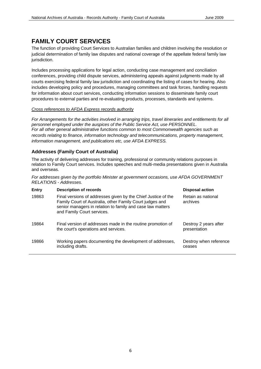# **FAMILY COURT SERVICES**

The function of providing Court Services to Australian families and children involving the resolution or judicial determination of family law disputes and national coverage of the appellate federal family law jurisdiction.

Includes processing applications for legal action, conducting case management and conciliation conferences, providing child dispute services, administering appeals against judgments made by all courts exercising federal family law jurisdiction and coordinating the listing of cases for hearing. Also includes developing policy and procedures, managing committees and task forces, handling requests for information about court services, conducting information sessions to disseminate family court procedures to external parties and re-evaluating products, processes, standards and systems.

# *Cross references to AFDA Express records authority*

*For Arrangements for the activities involved in arranging trips, travel itineraries and entitlements for all personnel employed under the auspices of the Public Service Act, use PERSONNEL. For all other general administrative functions common to most Commonwealth agencies such as records relating to finance, information technology and telecommunications, property management, information management, and publications etc, use AFDA EXPRESS.*

# **Addresses (Family Court of Australia)**

The activity of delivering addresses for training, professional or community relations purposes in relation to Family Court services. Includes speeches and multi-media presentations given in Australia and overseas.

*For addresses given by the portfolio Minister at government occasions, use AFDA GOVERNMENT RELATIONS - Addresses.*

| <b>Entry</b> | <b>Description of records</b>                                                                                                                                                                                         | <b>Disposal action</b>                |
|--------------|-----------------------------------------------------------------------------------------------------------------------------------------------------------------------------------------------------------------------|---------------------------------------|
| 19863        | Final versions of addresses given by the Chief Justice of the<br>Family Court of Australia, other Family Court judges and<br>senior managers in relation to family and case law matters<br>and Family Court services. | Retain as national<br>archives        |
| 19864        | Final version of addresses made in the routine promotion of<br>the court's operations and services.                                                                                                                   | Destroy 2 years after<br>presentation |
| 19866        | Working papers documenting the development of addresses,<br>including drafts.                                                                                                                                         | Destroy when reference<br>ceases      |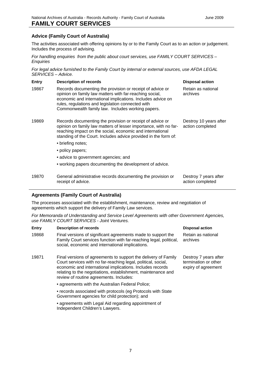# **Advice (Family Court of Australia)**

The activities associated with offering opinions by or to the Family Court as to an action or judgement. Includes the process of advising.

*For handling enquiries from the public about court services, use FAMILY COURT SERVICES – Enquiries*

*For legal advice furnished to the Family Court by internal or external sources, use AFDA LEGAL SERVICES – Advice.*

| Entry | <b>Description of records</b>                                                                                                                                                                                                                                                                 | <b>Disposal action</b>                     |
|-------|-----------------------------------------------------------------------------------------------------------------------------------------------------------------------------------------------------------------------------------------------------------------------------------------------|--------------------------------------------|
| 19867 | Records documenting the provision or receipt of advice or<br>opinion on family law matters with far-reaching social,<br>economic and international implications. Includes advice on<br>rules, regulations and legislation connected with<br>Commonwealth family law. Includes working papers. | Retain as national<br>archives             |
| 19869 | Records documenting the provision or receipt of advice or<br>opinion on family law matters of lesser importance, with no far-<br>reaching impact on the social, economic and international<br>standing of the Court. Includes advice provided in the form of:                                 | Destroy 10 years after<br>action completed |
|       | • briefing notes;                                                                                                                                                                                                                                                                             |                                            |
|       | • policy papers;                                                                                                                                                                                                                                                                              |                                            |
|       | • advice to government agencies; and                                                                                                                                                                                                                                                          |                                            |
|       | • working papers documenting the development of advice.                                                                                                                                                                                                                                       |                                            |
| 19870 | General administrative records documenting the provision or<br>receipt of advice.                                                                                                                                                                                                             | Destroy 7 years after<br>action completed  |

# **Agreements (Family Court of Australia)**

The processes associated with the establishment, maintenance, review and negotiation of agreements which support the delivery of Family Law services.

*For Memoranda of Understanding and Service Level Agreements with other Government Agencies, use FAMILY COURT SERVICES - Joint Ventures.*

| <b>Description of records</b>                                                                                                                                                                                                                                                                           | <b>Disposal action</b>                                               |
|---------------------------------------------------------------------------------------------------------------------------------------------------------------------------------------------------------------------------------------------------------------------------------------------------------|----------------------------------------------------------------------|
| Final versions of significant agreements made to support the<br>Family Court services function with far-reaching legal, political,<br>social, economic and international implications.                                                                                                                  | Retain as national<br>archives                                       |
| Final versions of agreements to support the delivery of Family<br>Court services with no far-reaching legal, political, social,<br>economic and international implications. Includes records<br>relating to the negotiations, establishment, maintenance and<br>review of routine agreements. Includes: | Destroy 7 years after<br>termination or other<br>expiry of agreement |
| • agreements with the Australian Federal Police;                                                                                                                                                                                                                                                        |                                                                      |
| • records associated with protocols (eg Protocols with State<br>Government agencies for child protection); and                                                                                                                                                                                          |                                                                      |
| • agreements with Legal Aid regarding appointment of<br>Independent Children's Lawyers.                                                                                                                                                                                                                 |                                                                      |
|                                                                                                                                                                                                                                                                                                         |                                                                      |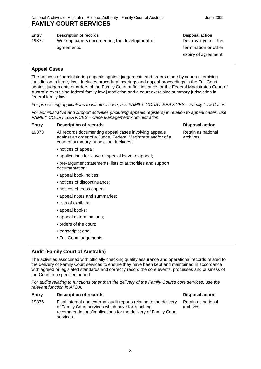# **Entry Description of records Disposal action**

19872 Working papers documenting the development of agreements.

Destroy 7 years after termination or other expiry of agreement

# **Appeal Cases**

The process of administering appeals against judgements and orders made by courts exercising jurisdiction in family law. Includes procedural hearings and appeal proceedings in the Full Court against judgements or orders of the Family Court at first instance, or the Federal Magistrates Court of Australia exercising federal family law jurisdiction and a court exercising summary jurisdiction in federal family law.

*For processing applications to initiate a case, use FAMILY COURT SERVICES – Family Law Cases.*

*For administrative and support activities (including appeals registers) in relation to appeal cases, use FAMILY COURT SERVICES – Case Management Administration.*

## **Entry Description of records Disposal action**

- 19873 All records documenting appeal cases involving appeals against an order of a Judge, Federal Magistrate and/or of a court of summary jurisdiction. Includes:
	- notices of appeal;
	- applications for leave or special leave to appeal;
	- pre-argument statements, lists of authorities and support documentation;
	- appeal book indices;
	- notices of discontinuance;
	- notices of cross appeal;
	- appeal notes and summaries;
	- lists of exhibits;
	- appeal books;
	- appeal determinations;
	- orders of the court;
	- transcripts; and
	- Full Court judgements.

# **Audit (Family Court of Australia)**

The activities associated with officially checking quality assurance and operational records related to the delivery of Family Court services to ensure they have been kept and maintained in accordance with agreed or legislated standards and correctly record the core events, processes and business of the Court in a specified period.

*For audits relating to functions other than the delivery of the Family Court's core services, use the relevant function in AFDA.*

| <b>Entry</b> | <b>Description of records</b>                                                                                                                                                                        | <b>Disposal action</b>         |
|--------------|------------------------------------------------------------------------------------------------------------------------------------------------------------------------------------------------------|--------------------------------|
| 19875        | Final internal and external audit reports relating to the delivery<br>of Family Court services which have far-reaching<br>recommendations/implications for the delivery of Family Court<br>services. | Retain as national<br>archives |

Retain as national archives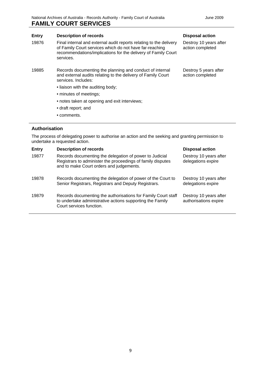| <b>Entry</b> | <b>Description of records</b>                                                                                                                                                                               | <b>Disposal action</b>                     |
|--------------|-------------------------------------------------------------------------------------------------------------------------------------------------------------------------------------------------------------|--------------------------------------------|
| 19876        | Final internal and external audit reports relating to the delivery<br>of Family Court services which do not have far-reaching<br>recommendations/implications for the delivery of Family Court<br>services. | Destroy 10 years after<br>action completed |
| 19885        | Records documenting the planning and conduct of internal<br>and external audits relating to the delivery of Family Court<br>services. Includes:                                                             | Destroy 5 years after<br>action completed  |
|              | • liaison with the auditing body;                                                                                                                                                                           |                                            |
|              | • minutes of meetings;                                                                                                                                                                                      |                                            |
|              | • notes taken at opening and exit interviews;                                                                                                                                                               |                                            |
|              | • draft report; and                                                                                                                                                                                         |                                            |
|              | • comments.                                                                                                                                                                                                 |                                            |

# **Authorisation**

The process of delegating power to authorise an action and the seeking and granting permission to undertake a requested action.

| <b>Entry</b> | <b>Description of records</b>                                                                                                                                      | <b>Disposal action</b>                          |
|--------------|--------------------------------------------------------------------------------------------------------------------------------------------------------------------|-------------------------------------------------|
| 19877        | Records documenting the delegation of power to Judicial<br>Registrars to administer the proceedings of family disputes<br>and to make Court orders and judgements. | Destroy 10 years after<br>delegations expire    |
| 19878        | Records documenting the delegation of power of the Court to<br>Senior Registrars, Registrars and Deputy Registrars.                                                | Destroy 10 years after<br>delegations expire    |
| 19879        | Records documenting the authorisations for Family Court staff<br>to undertake administrative actions supporting the Family<br>Court services function.             | Destroy 10 years after<br>authorisations expire |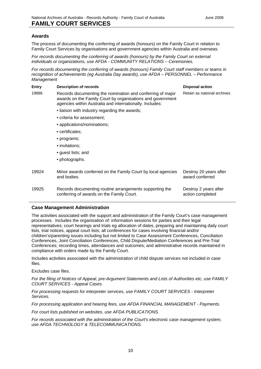# **Awards**

The process of documenting the conferring of awards (honours) on the Family Court in relation to Family Court Services by organisations and government agencies within Australia and overseas.

*For records documenting the conferring of awards (honours) by the Family Court on external individuals or organizations, use AFDA - COMMUNITY RELATIONS – Ceremonies.*

*For records documenting the conferring of awards (honours) Family Court staff members or teams in recognition of achievements (eg Australia Day awards), use AFDA – PERSONNEL – Performance Management*

| <b>Entry</b> | <b>Description of records</b>                                                                                                                                                        | <b>Disposal action</b>                    |
|--------------|--------------------------------------------------------------------------------------------------------------------------------------------------------------------------------------|-------------------------------------------|
| 19886        | Records documenting the nomination and conferring of major<br>awards on the Family Court by organisations and government<br>agencies within Australia and internationally. Includes: | Retain as national archives               |
|              | • liaison with industry regarding the awards;                                                                                                                                        |                                           |
|              | • criteria for assessment;                                                                                                                                                           |                                           |
|              | • applications/nominations;                                                                                                                                                          |                                           |
|              | • certificates:                                                                                                                                                                      |                                           |
|              | • programs;                                                                                                                                                                          |                                           |
|              | • invitations:                                                                                                                                                                       |                                           |
|              | • guest lists; and                                                                                                                                                                   |                                           |
|              | • photographs.                                                                                                                                                                       |                                           |
| 19924        | Minor awards conferred on the Family Court by local agencies<br>and bodies.                                                                                                          | Destroy 20 years after<br>award conferred |
| 19925        | Records documenting routine arrangements supporting the<br>conferring of awards on the Family Court.                                                                                 | Destroy 2 years after<br>action completed |

# **Case Management Administration**

The activities associated with the support and administration of the Family Court's case management processes. Includes the organisation of: information sessions for parties and their legal representatives; court hearings and trials eg allocation of dates, preparing and maintaining daily court lists, trial notices, appeal court lists; all conferences for cases involving financial and/or children's/parenting issues including but not limited to Case Assessment Conferences, Conciliation Conferences, Joint Conciliation Conferences, Child Dispute/Mediation Conferences and Pre-Trial Conferences; recording times, attendances and outcomes; and administrative records maintained in compliance with orders made by the Family Court.

Includes activities associated with the administration of child dispute services not included in case files.

Excludes case files.

*For the filing of Notices of Appeal, pre-Argument Statements and Lists of Authorities etc, use FAMILY COURT SERVICES - Appeal Cases.*

*For processing requests for interpreter services, use FAMILY COURT SERVICES - Interpreter Services.*

*For processing application and hearing fees, use AFDA FINANCIAL MANAGEMENT - Payments.*

*For court lists published on websites, use AFDA PUBLICATIONS.*

*For records associated with the administration of the Court's electronic case management system, use AFDA TECHNOLOGY & TELECOMMUNICATIONS.*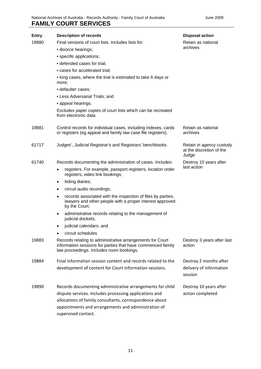| Entry | <b>Description of records</b>                                                                                                                                        | <b>Disposal action</b>                                        |
|-------|----------------------------------------------------------------------------------------------------------------------------------------------------------------------|---------------------------------------------------------------|
| 19880 | Final versions of court lists. Includes lists for:                                                                                                                   | Retain as national<br>archives                                |
|       | • divorce hearings;                                                                                                                                                  |                                                               |
|       | • specific applications;                                                                                                                                             |                                                               |
|       | · defended cases for trial;                                                                                                                                          |                                                               |
|       | • cases for accelerated trial;                                                                                                                                       |                                                               |
|       | • long cases, where the trial is estimated to take 6 days or<br>more:                                                                                                |                                                               |
|       | • defaulter cases;                                                                                                                                                   |                                                               |
|       | • Less Adversarial Trials; and                                                                                                                                       |                                                               |
|       | • appeal hearings.                                                                                                                                                   |                                                               |
|       | Excludes paper copies of court lists which can be recreated<br>from electronic data.                                                                                 |                                                               |
| 19881 | Control records for individual cases, including indexes, cards<br>or registers (eg appeal and family law case file registers).                                       | Retain as national<br>archives                                |
| 61717 | Judges', Judicial Registrar's and Registrars' benchbooks                                                                                                             | Retain in agency custody<br>at the discretion of the<br>Judge |
| 61740 | Records documenting the administration of cases. Includes:                                                                                                           | Destroy 10 years after                                        |
|       | registers. For example, passport registers, location order<br>$\bullet$<br>registers, video link bookings;                                                           | last action                                                   |
|       | listing diaries;<br>$\bullet$                                                                                                                                        |                                                               |
|       | circuit audio recordings;<br>$\bullet$                                                                                                                               |                                                               |
|       | records associated with the inspection of files by parties,<br>$\bullet$<br>lawyers and other people with a proper interest approved<br>by the Court;                |                                                               |
|       | administrative records relating to the management of<br>$\bullet$<br>judicial dockets;                                                                               |                                                               |
|       | judicial calendars; and                                                                                                                                              |                                                               |
|       | circuit schedules                                                                                                                                                    |                                                               |
| 19883 | Records relating to administrative arrangements for Court<br>information sessions for parties that have commenced family<br>law proceedings. Includes room bookings. | Destroy 3 years after last<br>action                          |
| 19884 | Final information session content and records related to the                                                                                                         | Destroy 2 months after                                        |
|       | development of content for Court information sessions.                                                                                                               | delivery of information<br>session                            |
| 19890 | Records documenting administrative arrangements for child                                                                                                            | Destroy 10 years after                                        |
|       | dispute services. Includes processing applications and                                                                                                               | action completed                                              |
|       | allocations of family consultants, correspondence about<br>appointments and arrangements and administration of<br>supervised contact.                                |                                                               |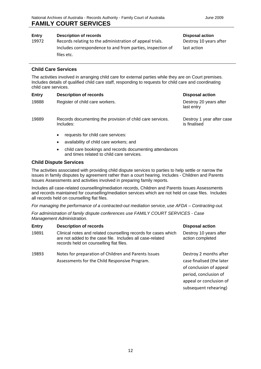# **Entry Description of records Disposal action**

19972 Records relating to the administration of appeal trials. Includes correspondence to and from parties, inspection of files etc.

Destroy 10 years after last action

subsequent rehearing)

# **Child Care Services**

The activities involved in arranging child care for external parties while they are on Court premises. Includes details of qualified child care staff, responding to requests for child care and coordinating child care services.

| <b>Entry</b> | <b>Description of records</b>                                          | <b>Disposal action</b>                    |
|--------------|------------------------------------------------------------------------|-------------------------------------------|
| 19888        | Register of child care workers.                                        | Destroy 20 years after<br>last entry      |
| 19889        | Records documenting the provision of child care services.<br>Includes: | Destroy 1 year after case<br>is finalised |
|              | المتحاد ستحت تحسنهما والماحا وحاكم والمتحدد ومراجع                     |                                           |

- requests for child care services:
- availability of child care workers; and
- child care bookings and records documenting attendances and times related to child care services.

# **Child Dispute Services**

The activities associated with providing child dispute services to parties to help settle or narrow the issues in family disputes by agreement rather than a court hearing. Includes - Children and Parents Issues Assessments and activities involved in preparing family reports.

Includes all case-related counselling/mediation records, Children and Parents Issues Assessments and records maintained for counselling/mediation services which are not held on case files. Includes all records held on counselling flat files.

*For managing the performance of a contracted-out mediation service, use AFDA – Contracting-out.*

*For administration of family dispute conferences use FAMILY COURT SERVICES - Case Management Administration.*

| <b>Entry</b> | <b>Description of records</b>                                                                                                                                          | <b>Disposal action</b>                                                                                  |
|--------------|------------------------------------------------------------------------------------------------------------------------------------------------------------------------|---------------------------------------------------------------------------------------------------------|
| 19891        | Clinical notes and related counselling records for cases which<br>are not added to the case file. Includes all case-related<br>records held on counselling flat files. | Destroy 10 years after<br>action completed                                                              |
| 19893        | Notes for preparation of Children and Parents Issues<br>Assessments for the Child Responsive Program.                                                                  | Destroy 2 months after<br>case finalised (the later<br>of conclusion of appeal<br>period, conclusion of |
|              |                                                                                                                                                                        | appeal or conclusion of                                                                                 |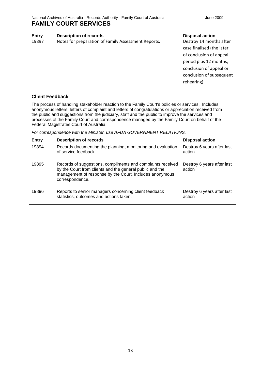**Entry Description of records Disposal action**<br>19897 Motes for preparation of Family Assessment Reports. Destroy 14 months after Notes for preparation of Family Assessment Reports.

case finalised (the later of conclusion of appeal period plus 12 months, conclusion of appeal or conclusion of subsequent rehearing)

# **Client Feedback**

The process of handling stakeholder reaction to the Family Court's policies or services. Includes anonymous letters, letters of complaint and letters of congratulations or appreciation received from the public and suggestions from the judiciary, staff and the public to improve the services and processes of the Family Court and correspondence managed by the Family Court on behalf of the Federal Magistrates Court of Australia.

*For correspondence with the Minister, use AFDA GOVERNMENT RELATIONS.*

| <b>Entry</b> | <b>Description of records</b>                                                                                                                                                                         | <b>Disposal action</b>               |
|--------------|-------------------------------------------------------------------------------------------------------------------------------------------------------------------------------------------------------|--------------------------------------|
| 19894        | Records documenting the planning, monitoring and evaluation<br>of service feedback.                                                                                                                   | Destroy 6 years after last<br>action |
| 19895        | Records of suggestions, compliments and complaints received<br>by the Court from clients and the general public and the<br>management of response by the Court. Includes anonymous<br>correspondence. | Destroy 6 years after last<br>action |
| 19896        | Reports to senior managers concerning client feedback<br>statistics, outcomes and actions taken.                                                                                                      | Destroy 6 years after last<br>action |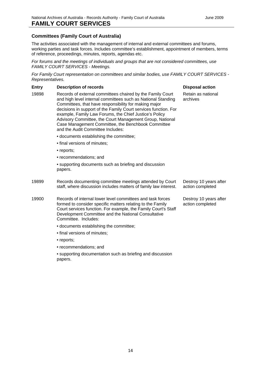# **Committees (Family Court of Australia)**

The activities associated with the management of internal and external committees and forums, working parties and task forces. Includes committee's establishment, appointment of members, terms of reference, proceedings, minutes, reports, agendas etc.

*For forums and the meetings of individuals and groups that are not considered committees, use FAMILY COURT SERVICES - Meetings.*

*For Family Court representation on committees and similar bodies, use FAMILY COURT SERVICES - Representatives.*

# **Entry Description of records Disposal action**

- 19898 Records of external committees chaired by the Family Court and high level internal committees such as National Standing Committees, that have responsibility for making major decisions in support of the Family Court services function. For example, Family Law Forums, the Chief Justice's Policy Advisory Committee, the Court Management Group, National Case Management Committee, the Benchbook Committee and the Audit Committee Includes:
- 

Retain as national archives

Destroy 10 years after action completed

- documents establishing the committee;
- final versions of minutes;
- reports;
- recommendations; and

• supporting documents such as briefing and discussion papers.

- 19899 Records documenting committee meetings attended by Court staff, where discussion includes matters of family law interest. Destroy 10 years after action completed
- 19900 Records of internal lower level committees and task forces formed to consider specific matters relating to the Family Court services function. For example, the Family Court's Staff Development Committee and the National Consultative Committee. Includes:
	- documents establishing the committee;
	- final versions of minutes;
	- reports;
	- recommendations; and

• supporting documentation such as briefing and discussion papers.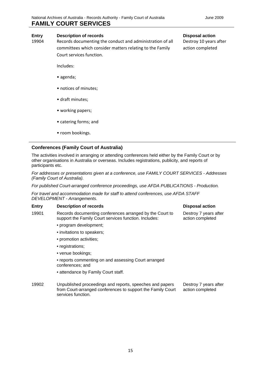**Entry Description of records Disposal action**<br>19904 Records documenting the conduct and administration of all **Destroy 10 years** Records documenting the conduct and administration of all committees which consider matters relating to the Family Court services function.

Destroy 10 years after action completed

Includes:

- agenda;
- notices of minutes;
- draft minutes;
- working papers;
- catering forms; and
- room bookings.

# **Conferences (Family Court of Australia)**

The activities involved in arranging or attending conferences held either by the Family Court or by other organisations in Australia or overseas. Includes registrations, publicity, and reports of participants etc.

*For addresses or presentations given at a conference, use FAMILY COURT SERVICES - Addresses (Family Court of Australia).*

*For published Court-arranged conference proceedings, use AFDA PUBLICATIONS - Production.*

*For travel and accommodation made for staff to attend conferences, use AFDA STAFF DEVELOPMENT - Arrangements.*

## **Entry Description of records Disposal action**

19901 Records documenting conferences arranged by the Court to support the Family Court services function. Includes:

Destroy 7 years after action completed

- program development;
- invitations to speakers;
- promotion activities;
- registrations;
- venue bookings;

• reports commenting on and assessing Court arranged conferences; and

- attendance by Family Court staff.
- 19902 Unpublished proceedings and reports, speeches and papers from Court-arranged conferences to support the Family Court services function. Destroy 7 years after action completed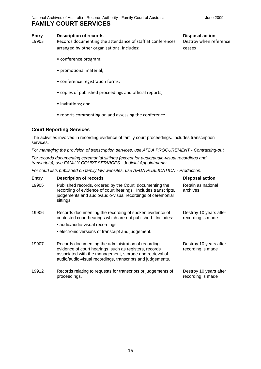**Entry Description of records Disposal action**<br>19903 Records documenting the attendance of staff at conferences **Destroy when ref** Records documenting the attendance of staff at conferences arranged by other organisations. Includes:

- conference program;
- promotional material;
- conference registration forms;
- copies of published proceedings and official reports;
- invitations; and
- reports commenting on and assessing the conference.

# **Court Reporting Services**

The activities involved in recording evidence of family court proceedings. Includes transcription services.

*For managing the provision of transcription services, use AFDA PROCUREMENT - Contracting-out.*

*For records documenting ceremonial sittings (except for audio/audio-visual recordings and transcripts), use FAMILY COURT SERVICES - Judicial Appointments.*

*For court lists published on family law websites, use AFDA PUBLICATION - Production.*

| <b>Entry</b> | <b>Description of records</b>                                                                                                                                                                                                           | <b>Disposal action</b>                      |
|--------------|-----------------------------------------------------------------------------------------------------------------------------------------------------------------------------------------------------------------------------------------|---------------------------------------------|
| 19905        | Published records, ordered by the Court, documenting the<br>recording of evidence of court hearings. Includes transcripts,<br>judgements and audio/audio-visual recordings of ceremonial<br>sittings.                                   | Retain as national<br>archives              |
| 19906        | Records documenting the recording of spoken evidence of<br>contested court hearings which are not published. Includes:<br>• audio/audio-visual recordings                                                                               | Destroy 10 years after<br>recording is made |
|              |                                                                                                                                                                                                                                         |                                             |
|              | • electronic versions of transcript and judgement.                                                                                                                                                                                      |                                             |
| 19907        | Records documenting the administration of recording<br>evidence of court hearings, such as registers, records<br>associated with the management, storage and retrieval of<br>audio/audio-visual recordings, transcripts and judgements. | Destroy 10 years after<br>recording is made |
| 19912        | Records relating to requests for transcripts or judgements of<br>proceedings.                                                                                                                                                           | Destroy 10 years after<br>recording is made |

Destroy when reference ceases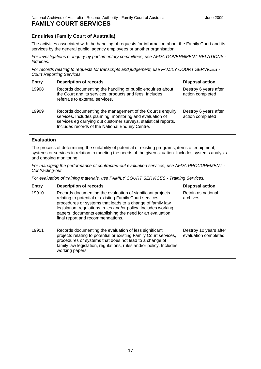# **Enquiries (Family Court of Australia)**

The activities associated with the handling of requests for information about the Family Court and its services by the general public, agency employees or another organisation.

*For investigations or inquiry by parliamentary committees, use AFDA GOVERNMENT RELATIONS - Inquiries.*

*For records relating to requests for transcripts and judgement, use FAMILY COURT SERVICES - Court Reporting Services.*

| <b>Entry</b> | <b>Description of records</b>                                                                                                                                                                                                                 | <b>Disposal action</b>                    |
|--------------|-----------------------------------------------------------------------------------------------------------------------------------------------------------------------------------------------------------------------------------------------|-------------------------------------------|
| 19908        | Records documenting the handling of public enquiries about<br>the Court and its services, products and fees. Includes<br>referrals to external services.                                                                                      | Destroy 6 years after<br>action completed |
| 19909        | Records documenting the management of the Court's enquiry<br>services. Includes planning, monitoring and evaluation of<br>services eg carrying out customer surveys, statistical reports.<br>Includes records of the National Enquiry Centre. | Destroy 6 years after<br>action completed |

# **Evaluation**

The process of determining the suitability of potential or existing programs, items of equipment, systems or services in relation to meeting the needs of the given situation. Includes systems analysis and ongoing monitoring.

*For managing the performance of contracted-out evaluation services, use AFDA PROCUREMENT - Contracting-out.*

*For evaluation of training materials, use FAMILY COURT SERVICES - Training Services.*

| <b>Entry</b> | <b>Description of records</b>                                                                                                                                                                                                                                                                                                                              | <b>Disposal action</b>                         |
|--------------|------------------------------------------------------------------------------------------------------------------------------------------------------------------------------------------------------------------------------------------------------------------------------------------------------------------------------------------------------------|------------------------------------------------|
| 19910        | Records documenting the evaluation of significant projects<br>relating to potential or existing Family Court services,<br>procedures or systems that leads to a change of family law<br>legislation, regulations, rules and/or policy. Includes working<br>papers, documents establishing the need for an evaluation,<br>final report and recommendations. | Retain as national<br>archives                 |
| 19911        | Records documenting the evaluation of less significant<br>projects relating to potential or existing Family Court services,<br>procedures or systems that does not lead to a change of<br>family law legislation, regulations, rules and/or policy. Includes<br>working papers.                                                                            | Destroy 10 years after<br>evaluation completed |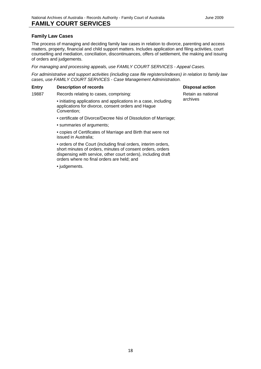# **Family Law Cases**

The process of managing and deciding family law cases in relation to divorce, parenting and access matters, property, financial and child support matters. Includes application and filing activities, court counselling and mediation, conciliation, discontinuances, offers of settlement, the making and issuing of orders and judgements.

*For managing and processing appeals, use FAMILY COURT SERVICES - Appeal Cases.*

*For administrative and support activities (including case file registers/indexes) in relation to family law cases, use FAMILY COURT SERVICES - Case Management Administration.*

# **Entry Description of records Disposal action**

# 19887 Records relating to cases, comprising:

• initiating applications and applications in a case, including applications for divorce, consent orders and Hague Convention;

- certificate of Divorce/Decree Nisi of Dissolution of Marriage;
- summaries of arguments;

• copies of Certificates of Marriage and Birth that were not issued in Australia;

• orders of the Court (including final orders, interim orders, short minutes of orders, minutes of consent orders, orders dispensing with service, other court orders), including draft orders where no final orders are held; and

• judgements.

Retain as national archives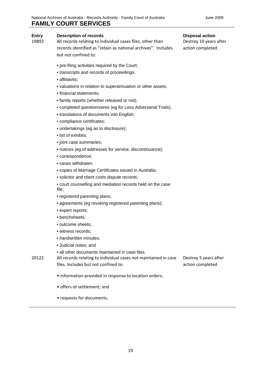**Entry Description of records Disposal action**<br>19892 All records relating to individual cases files, other than **Destroy 10 years** All records relating to individual cases files, other than records identified as "retain as national archives". Includes but not confined to:

- pre-filing activities required by the Court;
- transcripts and records of proceedings;
- affidavits;
- valuations in relation to superannuation or other assets;
- financial statements;
- family reports (whether released or not);
- completed questionnaires (eg for Less Adversarial Trials);
- translations of documents into English;
- compliance certificates;
- undertakings (eg as to disclosure);
- list of exhibits;
- joint case summaries;
- notices (eg of addresses for service, discontinuance);
- correspondence;
- cases withdrawn;
- copies of Marriage Certificates issued in Australia;
- solicitor and client costs dispute records;

• court counselling and mediation records held on the case file;

- registered parenting plans;
- agreements (eg revoking registered parenting plans);
- expert reports;
- benchsheets;
- outcome sheets;
- witness records;
- handwritten minutes;
- Judicial notes; and
- all other documents maintained in case files.

20122 All records relating to individual cases not maintained in case files. Includes but not confined to: Destroy 5 years after action completed

- information provided in response to location orders;
- offers of settlement; and
- requests for documents.

Destroy 10 years after action completed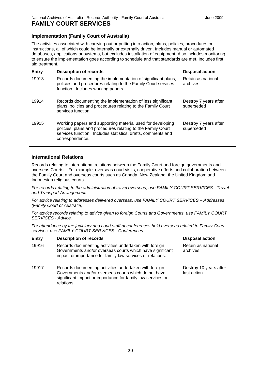# **Implementation (Family Court of Australia)**

The activities associated with carrying out or putting into action, plans, policies, procedures or instructions, all of which could be internally or externally driven. Includes manual or automated databases, applications or systems, but excludes installation of equipment. Also includes monitoring to ensure the implementation goes according to schedule and that standards are met. Includes first aid treatment.

| Entry<br>19913 | <b>Description of records</b><br>Records documenting the implementation of significant plans,<br>policies and procedures relating to the Family Court services<br>function. Includes working papers.         | <b>Disposal action</b><br>Retain as national<br>archives |
|----------------|--------------------------------------------------------------------------------------------------------------------------------------------------------------------------------------------------------------|----------------------------------------------------------|
| 19914          | Records documenting the implementation of less significant<br>plans, policies and procedures relating to the Family Court<br>services function.                                                              | Destroy 7 years after<br>superseded                      |
| 19915          | Working papers and supporting material used for developing<br>policies, plans and procedures relating to the Family Court<br>services function. Includes statistics, drafts, comments and<br>correspondence. | Destroy 7 years after<br>superseded                      |

# **International Relations**

Records relating to international relations between the Family Court and foreign governments and overseas Courts – For example overseas court visits, cooperative efforts and collaboration between the Family Court and overseas courts such as Canada, New Zealand, the United Kingdom and Indonesian religious courts.

*For records relating to the administration of travel overseas, use FAMILY COURT SERVICES - Travel and Transport Arrangements.*

*For advice relating to addresses delivered overseas, use FAMILY COURT SERVICES – Addresses (Family Court of Australia).*

*For advice records relating to advice given to foreign Courts and Governments, use FAMILY COURT SERVICES - Advice.*

*For attendance by the judiciary and court staff at conferences held overseas related to Family Court services, use FAMILY COURT SERVICES - Conferences.*

| <b>Entry</b> | <b>Description of records</b>                                                                                                                                                               | <b>Disposal action</b>                |
|--------------|---------------------------------------------------------------------------------------------------------------------------------------------------------------------------------------------|---------------------------------------|
| 19916        | Records documenting activities undertaken with foreign<br>Governments and/or overseas courts which have significant<br>impact or importance for family law services or relations.           | Retain as national<br>archives        |
| 19917        | Records documenting activities undertaken with foreign<br>Governments and/or overseas courts which do not have<br>significant impact or importance for family law services or<br>relations. | Destroy 10 years after<br>last action |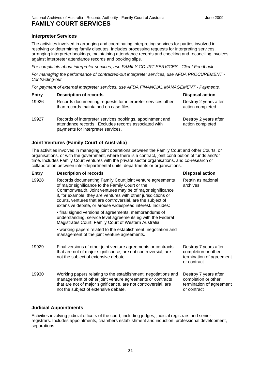# **Interpreter Services**

The activities involved in arranging and coordinating interpreting services for parties involved in resolving or determining family disputes. Includes processing requests for interpreting services, arranging interpreter bookings, maintaining attendance records and checking and reconciling invoices against interpreter attendance records and booking slips.

*For complaints about interpreter services, use FAMILY COURT SERVICES - Client Feedback.*

*For managing the performance of contracted-out interpreter services, use AFDA PROCUREMENT - Contracting-out.*

*For payment of external interpreter services, use AFDA FINANCIAL MANAGEMENT - Payments.*

| <b>Entry</b> | <b>Description of records</b>                                                                                                                           | <b>Disposal action</b>                    |
|--------------|---------------------------------------------------------------------------------------------------------------------------------------------------------|-------------------------------------------|
| 19926        | Records documenting requests for interpreter services other<br>than records maintained on case files.                                                   | Destroy 2 years after<br>action completed |
| 19927        | Records of interpreter services bookings, appointment and<br>attendance records. Excludes records associated with<br>payments for interpreter services. | Destroy 2 years after<br>action completed |

# **Joint Ventures (Family Court of Australia)**

The activities involved in managing joint operations between the Family Court and other Courts, or organisations, or with the government, where there is a contract, joint contribution of funds and/or time. Includes Family Court ventures with the private sector organisations, and co-research or collaboration between inter-departmental units, departments or organisations.

| <b>Entry</b> | <b>Description of records</b>                                                                                                                                                                                                                                                                                                                                             | <b>Disposal action</b>                                                                  |
|--------------|---------------------------------------------------------------------------------------------------------------------------------------------------------------------------------------------------------------------------------------------------------------------------------------------------------------------------------------------------------------------------|-----------------------------------------------------------------------------------------|
| 19928        | Records documenting Family Court joint venture agreements<br>of major significance to the Family Court or the<br>Commonwealth. Joint ventures may be of major significance<br>if, for example, they are ventures with other jurisdictions or<br>courts, ventures that are controversial, are the subject of<br>extensive debate, or arouse widespread interest. Includes: | Retain as national<br>archives                                                          |
|              | • final signed versions of agreements, memorandums of<br>understanding, service level agreements eg with the Federal<br>Magistrates Court, Family Court of Western Australia;                                                                                                                                                                                             |                                                                                         |
|              | • working papers related to the establishment, negotiation and<br>management of the joint venture agreements.                                                                                                                                                                                                                                                             |                                                                                         |
| 19929        | Final versions of other joint venture agreements or contracts<br>that are not of major significance, are not controversial, are<br>not the subject of extensive debate.                                                                                                                                                                                                   | Destroy 7 years after<br>completion or other<br>termination of agreement<br>or contract |
| 19930        | Working papers relating to the establishment, negotiations and<br>management of other joint venture agreements or contracts<br>that are not of major significance, are not controversial, are<br>not the subject of extensive debate.                                                                                                                                     | Destroy 7 years after<br>completion or other<br>termination of agreement<br>or contract |

# **Judicial Appointments**

Activities involving judicial officers of the court, including judges, judicial registrars and senior registrars. Includes appointments, chambers establishment and induction, professional development, separations.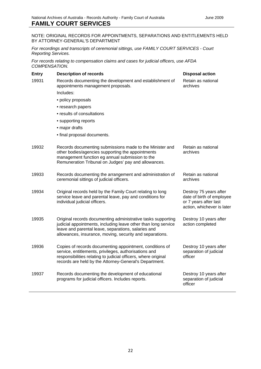| NOTE: ORIGINAL RECORDS FOR APPOINTMENTS, SEPARATIONS AND ENTITLEMENTS HELD<br>BY ATTORNEY-GENERAL'S DEPARTMENT |                                                                                                                                                                                                                                                   |                                                                                                            |
|----------------------------------------------------------------------------------------------------------------|---------------------------------------------------------------------------------------------------------------------------------------------------------------------------------------------------------------------------------------------------|------------------------------------------------------------------------------------------------------------|
| <b>Reporting Services.</b>                                                                                     | For recordings and transcripts of ceremonial sittings, use FAMILY COURT SERVICES - Court                                                                                                                                                          |                                                                                                            |
| COMPENSATION.                                                                                                  | For records relating to compensation claims and cases for judicial officers, use AFDA                                                                                                                                                             |                                                                                                            |
| <b>Entry</b>                                                                                                   | <b>Description of records</b>                                                                                                                                                                                                                     | <b>Disposal action</b>                                                                                     |
| 19931                                                                                                          | Records documenting the development and establishment of<br>appointments management proposals.                                                                                                                                                    | Retain as national<br>archives                                                                             |
|                                                                                                                | Includes:                                                                                                                                                                                                                                         |                                                                                                            |
|                                                                                                                | • policy proposals                                                                                                                                                                                                                                |                                                                                                            |
|                                                                                                                | • research papers                                                                                                                                                                                                                                 |                                                                                                            |
|                                                                                                                | • results of consultations                                                                                                                                                                                                                        |                                                                                                            |
|                                                                                                                | • supporting reports                                                                                                                                                                                                                              |                                                                                                            |
|                                                                                                                | · major drafts                                                                                                                                                                                                                                    |                                                                                                            |
|                                                                                                                | • final proposal documents.                                                                                                                                                                                                                       |                                                                                                            |
| 19932                                                                                                          | Records documenting submissions made to the Minister and<br>other bodies/agencies supporting the appointments<br>management function eg annual submission to the<br>Remuneration Tribunal on Judges' pay and allowances.                          | Retain as national<br>archives                                                                             |
| 19933                                                                                                          | Records documenting the arrangement and administration of<br>ceremonial sittings of judicial officers.                                                                                                                                            | Retain as national<br>archives                                                                             |
| 19934                                                                                                          | Original records held by the Family Court relating to long<br>service leave and parental leave, pay and conditions for<br>individual judicial officers.                                                                                           | Destroy 75 years after<br>date of birth of employee<br>or 7 years after last<br>action, whichever is later |
| 19935                                                                                                          | Original records documenting administrative tasks supporting<br>judicial appointments, including leave other than long service<br>leave and parental leave, separations, salaries and<br>allowances, insurance, moving, security and separations. | Destroy 10 years after<br>action completed                                                                 |
| 19936                                                                                                          | Copies of records documenting appointment, conditions of<br>service, entitlements, privileges, authorisations and<br>responsibilities relating to judicial officers, where original<br>records are held by the Attorney-General's Department.     | Destroy 10 years after<br>separation of judicial<br>officer                                                |
| 19937                                                                                                          | Records documenting the development of educational<br>programs for judicial officers. Includes reports.                                                                                                                                           | Destroy 10 years after<br>separation of judicial<br>officer                                                |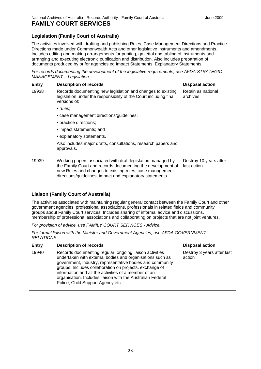Retain as national

archives

# **Legislation (Family Court of Australia)**

The activities involved with drafting and publishing Rules, Case Management Directions and Practice Directions made under Commonwealth Acts and other legislative instruments and amendments. Includes editing and making arrangements for printing, gazettal and tabling of instruments and arranging and executing electronic publication and distribution. Also includes preparation of documents produced by or for agencies eg Impact Statements, Explanatory Statements.

*For records documenting the development of the legislative requirements, use AFDA STRATEGIC MANAGEMENT – Legislation.*

# **Entry Description of records Disposal action Disposal action**

- 19938 Records documenting new legislation and changes to existing legislation under the responsibility of the Court including final versions of:
	- rules;
	- case management directions/guidelines;
	- practice directions;
	- impact statements; and
	- explanatory statements.

Also includes major drafts, consultations, research papers and approvals.

19939 Working papers associated with draft legislation managed by the Family Court and records documenting the development of new Rules and changes to existing rules, case management directions/guidelines, impact and explanatory statements. Destroy 10 years after last action

# **Liaison (Family Court of Australia)**

The activities associated with maintaining regular general contact between the Family Court and other government agencies, professional associations, professionals in related fields and community groups about Family Court services. Includes sharing of informal advice and discussions, membership of professional associations and collaborating on projects that are not joint ventures.

*For provision of advice, use FAMILY COURT SERVICES - Advice.*

*For formal liaison with the Minister and Government Agencies, use AFDA GOVERNMENT RELATIONS.*

# **Entry Description of records Disposal action**

19940 Records documenting regular, ongoing liaison activities undertaken with external bodies and organisations such as government, industry, representative bodies and community groups. Includes collaboration on projects, exchange of information and all the activities of a member of an organisation. Includes liaison with the Australian Federal Police, Child Support Agency etc.

Destroy 3 years after last action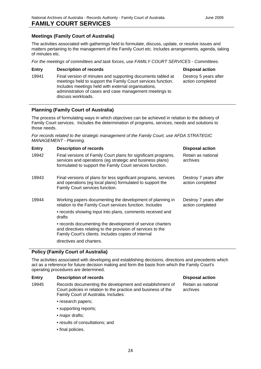# **Meetings (Family Court of Australia)**

The activities associated with gatherings held to formulate, discuss, update, or resolve issues and matters pertaining to the management of the Family Court etc. Includes arrangements, agenda, taking of minutes etc.

*For the meetings of committees and task forces, use FAMILY COURT SERVICES - Committees.*

# **Entry Description of records Disposal action**

19941 Final version of minutes and supporting documents tabled at meetings held to support the Family Court services function. Includes meetings held with external organisations, administration of cases and case management meetings to discuss workloads. Destroy 5 years after action completed

# **Planning (Family Court of Australia)**

The process of formulating ways in which objectives can be achieved in relation to the delivery of Family Court services. Includes the determination of programs, services, needs and solutions to those needs.

*For records related to the strategic management of the Family Court, use AFDA STRATEGIC MANAGEMENT - Planning.*

| <b>Entry</b> | <b>Description of records</b>                                                                                                                                                                | <b>Disposal action</b>                    |
|--------------|----------------------------------------------------------------------------------------------------------------------------------------------------------------------------------------------|-------------------------------------------|
| 19942        | Final versions of Family Court plans for significant programs,<br>services and operations (eg strategic and business plans)<br>formulated to support the Family Court services function.     | Retain as national<br>archives            |
| 19943        | Final versions of plans for less significant programs, services<br>and operations (eg local plans) formulated to support the<br>Family Court services function.                              | Destroy 7 years after<br>action completed |
| 19944        | Working papers documenting the development of planning in<br>relation to the Family Court services function. Includes<br>• records showing input into plans, comments received and<br>drafts | Destroy 7 years after<br>action completed |
|              | • records documenting the development of service charters<br>and directives relating to the provision of services to the<br>Family Court's clients. Includes copies of internal              |                                           |
|              | directives and charters.                                                                                                                                                                     |                                           |

# **Policy (Family Court of Australia)**

The activities associated with developing and establishing decisions, directions and precedents which act as a reference for future decision making and form the basis from which the Family Court's operating procedures are determined.

## **Entry Description of records Disposal action**

19945 Records documenting the development and establishment of Court policies in relation to the practice and business of the Family Court of Australia. Includes:

- research papers;
- supporting reports;
- major drafts;
- results of consultations; and
- final policies.

Retain as national archives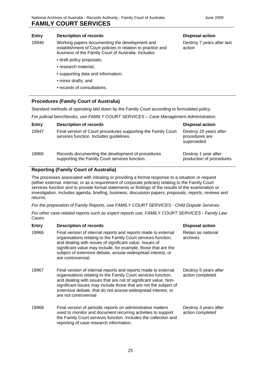# **Entry Description of records Disposal action**

- 19946 Working papers documenting the development and establishment of Court policies in relation to practice and business of the Family Court of Australia. Includes:
	- draft policy proposals;
	- research material;
	- supporting data and information;
	- minor drafts; and
	- records of consultations.

Destroy 7 years after last action

**Procedures (Family Court of Australia)**

Standard methods of operating laid down by the Family Court according to formulated policy.

*For judicial benchbooks, use FAMILY COURT SERVICES – Case Management Administration.*

| <b>Entry</b> | <b>Description of records</b>                                                                            | <b>Disposal action</b>                                 |
|--------------|----------------------------------------------------------------------------------------------------------|--------------------------------------------------------|
| 19947        | Final version of Court procedures supporting the Family Court<br>services function. Includes guidelines. | Destroy 20 years after<br>procedures are<br>superseded |
| 19965        | Records documenting the development of procedures<br>supporting the Family Court services function.      | Destroy 1 year after<br>production of procedures       |

# **Reporting (Family Court of Australia)**

The processes associated with initiating or providing a formal response to a situation or request (either external, internal, or as a requirement of corporate policies) relating to the Family Court services function and to provide formal statements or findings of the results of the examination or investigation. Includes agenda, briefing, business, discussion papers, proposals, reports, reviews and returns.

*For the preparation of Family Reports, use FAMILY COURT SERVICES - Child Dispute Services.*

*For other case-related reports such as expert reports use, FAMILY COURT SERVICES - Family Law Cases.*

| <b>Entry</b> | Description of records                                                                                                                                                                                                                                                                                                                                          | <b>Disposal action</b>                    |
|--------------|-----------------------------------------------------------------------------------------------------------------------------------------------------------------------------------------------------------------------------------------------------------------------------------------------------------------------------------------------------------------|-------------------------------------------|
| 19966        | Final version of internal reports and reports made to external<br>organisations relating to the Family Court services function,<br>and dealing with issues of significant value. Issues of<br>significant value may include, for example, those that are the<br>subject of extensive debate, arouse widespread interest, or<br>are controversial.               | Retain as national<br>archives            |
| 19967        | Final version of internal reports and reports made to external<br>organisations relating to the Family Court services function,<br>and dealing with issues that are not of significant value. Non-<br>significant issues may include those that are not the subject of<br>extensive debate, that do not arouse widespread interest, or<br>are not controversial | Destroy 5 years after<br>action completed |
| 19968        | Final version of periodic reports on administrative matters<br>used to monitor and document recurring activities to support<br>the Family Court services function. Includes the collection and<br>reporting of case research information.                                                                                                                       | Destroy 3 years after<br>action completed |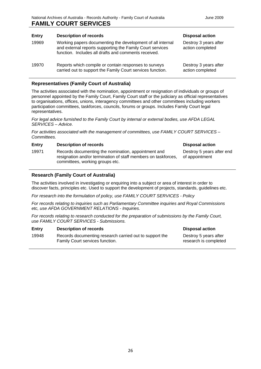| <b>Entry</b> | <b>Description of records</b>                                                                                                                                                   | <b>Disposal action</b>                    |
|--------------|---------------------------------------------------------------------------------------------------------------------------------------------------------------------------------|-------------------------------------------|
| 19969        | Working papers documenting the development of all internal<br>and external reports supporting the Family Court services<br>function. Includes all drafts and comments received. | Destroy 3 years after<br>action completed |
| 19970        | Reports which compile or contain responses to surveys<br>carried out to support the Family Court services function.                                                             | Destroy 3 years after<br>action completed |

# **Representatives (Family Court of Australia)**

The activities associated with the nomination, appointment or resignation of individuals or groups of personnel appointed by the Family Court, Family Court staff or the judiciary as official representatives to organisations, offices, unions, interagency committees and other committees including workers participation committees, taskforces, councils, forums or groups. Includes Family Court legal representatives.

*For legal advice furnished to the Family Court by internal or external bodies, use AFDA LEGAL SERVICES – Advice.*

*For activities associated with the management of committees, use FAMILY COURT SERVICES – Committees.*

## **Entry Description of records Disposal action**

19971 Records documenting the nomination, appointment and resignation and/or termination of staff members on taskforces, committees, working groups etc.

Destroy 5 years after end of appointment

# **Research (Family Court of Australia)**

The activities involved in investigating or enquiring into a subject or area of interest in order to discover facts, principles etc. Used to support the development of projects, standards, guidelines etc.

*For research into the formulation of policy, use FAMILY COURT SERVICES - Policy*

*For records relating to inquiries such as Parliamentary Committee inquiries and Royal Commissions etc, use AFDA GOVERNMENT RELATIONS - Inquiries.*

*For records relating to research conducted for the preparation of submissions by the Family Court, use FAMILY COURT SERVICES - Submissions.*

| <b>Entry</b> | <b>Description of records</b>                                                              | <b>Disposal action</b>                         |
|--------------|--------------------------------------------------------------------------------------------|------------------------------------------------|
| 19948        | Records documenting research carried out to support the<br>Family Court services function. | Destroy 5 years after<br>research is completed |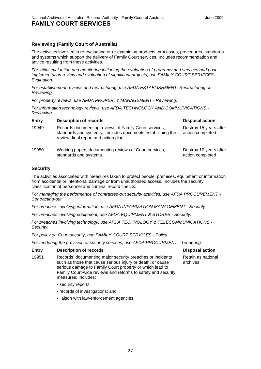# **Reviewing (Family Court of Australia)**

The activities involved in re-evaluating or re-examining products, processes, procedures, standards and systems which support the delivery of Family Court services. Includes recommendation and advice resulting from these activities.

*For initial evaluation and monitoring including the evaluation of programs and services and postimplementation review and evaluation of significant projects, use FAMILY COURT SERVICES – Evaluation.*

*For establishment reviews and restructuring, use AFDA ESTABLISHMENT- Restructuring or Reviewing.*

*For property reviews, use AFDA PROPERTY MANAGEMENT - Reviewing.*

*For information technology reviews, use AFDA TECHNOLOGY AND COMMUNICATIONS - Reviewing.*

| <b>Entry</b> | <b>Description of records</b>                                                                                                                                | <b>Disposal action</b>                     |
|--------------|--------------------------------------------------------------------------------------------------------------------------------------------------------------|--------------------------------------------|
| 19949        | Records documenting reviews of Family Court services,<br>standards and systems. Includes documents establishing the<br>review, final report and action plan. | Destroy 15 years after<br>action completed |
| 19950        | Working papers documenting reviews of Court services,<br>standards and systems.                                                                              | Destroy 10 years after<br>action completed |

# **Security**

The activities associated with measures taken to protect people, premises, equipment or information from accidental or intentional damage or from unauthorised access. Includes the security classification of personnel and criminal record checks.

*For managing the performance of contracted-out security activities, use AFDA PROCUREMENT - Contracting-out.*

*For breaches involving information, use AFDA INFORMATION MANAGEMENT - Security.*

*For breaches involving equipment, use AFDA EQUIPMENT & STORES - Security.*

*For breaches involving technology, use AFDA TECHNOLOGY & TELECOMMUNICATIONS - Security.*

*For policy on Court security, use FAMILY COURT SERVICES - Policy.*

*For tendering the provision of security services, use AFDA PROCURMENT - Tendering.*

## **Entry Description of records Disposal action**

- 19951 Records documenting major security breaches or incidents such as those that cause serious injury or death, or cause serious damage to Family Court property or which lead to Family Court-wide reviews and reforms to safety and security measures. Includes:
	- security reports;
	- records of investigations; and
	- liaison with law-enforcement agencies.

Retain as national archives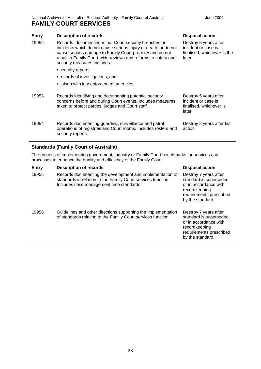### **Entry Description of records Disposal action**

- 19952 Records documenting minor Court security breaches or incidents which do not cause serious injury or death, or do not cause serious damage to Family Court property and do not result in Family Court-wide reviews and reforms to safety and security measures Includes :
	- security reports;
	- records of investigations; and
	- liaison with law-enforcement agencies.
- 19953 Records identifying and documenting potential security concerns before and during Court events. Includes measures taken to protect parties, judges and Court staff. Destroy 5 years after incident or case is finalised, whichever is later
- 19954 Records documenting guarding, surveillance and patrol operations of registries and Court rooms. Includes rosters and security reports.

Destroy 5 years after incident or case is finalised, whichever is the later

Destroy 2 years after last action

# **Standards (Family Court of Australia)**

The process of implementing government, industry or Family Court benchmarks for services and processes to enhance the quality and efficiency of the Family Court.

| <b>Entry</b> | <b>Description of records</b>                                                                                                                                         | <b>Disposal action</b>                                                                                                                  |
|--------------|-----------------------------------------------------------------------------------------------------------------------------------------------------------------------|-----------------------------------------------------------------------------------------------------------------------------------------|
| 19955        | Records documenting the development and implementation of<br>standards in relation to the Family Court services function.<br>Includes case management time standards. | Destroy 7 years after<br>standard is superseded<br>or in accordance with<br>recordkeeping<br>requirements prescribed<br>by the standard |
| 19956        | Guidelines and other directions supporting the implementation<br>of standards relating to the Family Court services function.                                         | Destroy 7 years after<br>standard is superseded<br>or in accordance with<br>recordkeeping<br>requirements prescribed<br>by the standard |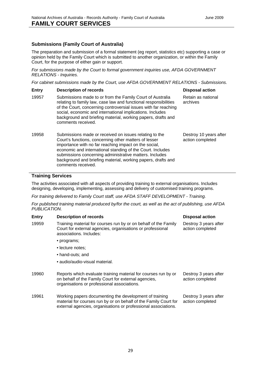# **Submissions (Family Court of Australia)**

The preparation and submission of a formal statement (eg report, statistics etc) supporting a case or opinion held by the Family Court which is submitted to another organization, or within the Family Court, for the purpose of either gain or support.

*For submissions made by the Court to formal government inquiries use, AFDA GOVERNMENT RELATIONS - Inquiries.*

*For cabinet submissions made by the Court, use AFDA GOVERNMENT RELATIONS - Submissions.*

| <b>Entry</b> | <b>Description of records</b>                                                                                                                                                                                                                                                                                                                                                           | <b>Disposal action</b>                     |
|--------------|-----------------------------------------------------------------------------------------------------------------------------------------------------------------------------------------------------------------------------------------------------------------------------------------------------------------------------------------------------------------------------------------|--------------------------------------------|
| 19957        | Submissions made to or from the Family Court of Australia<br>relating to family law, case law and functional responsibilities<br>of the Court, concerning controversial issues with far reaching<br>social, economic and international implications. Includes<br>background and briefing material, working papers, drafts and<br>comments received.                                     | Retain as national<br>archives             |
| 19958        | Submissions made or received on issues relating to the<br>Court's functions, concerning other matters of lesser<br>importance with no far reaching impact on the social,<br>economic and international standing of the Court. Includes<br>submissions concerning administrative matters. Includes<br>background and briefing material, working papers, drafts and<br>comments received. | Destroy 10 years after<br>action completed |

# **Training Services**

The activities associated with all aspects of providing training to external organisations. Includes designing, developing, implementing, assessing and delivery of customised training programs.

*For training delivered to Family Court staff, use AFDA STAFF DEVELOPMENT - Training.*

*For published training material produced by/for the court, as well as the act of publishing, use AFDA PUBLICATION.*

| Entry | <b>Description of records</b>                                                                                                                                                                | <b>Disposal action</b>                    |
|-------|----------------------------------------------------------------------------------------------------------------------------------------------------------------------------------------------|-------------------------------------------|
| 19959 | Training material for courses run by or on behalf of the Family<br>Court for external agencies, organisations or professional<br>associations. Includes:                                     | Destroy 3 years after<br>action completed |
|       | • programs;                                                                                                                                                                                  |                                           |
|       | • lecture notes:                                                                                                                                                                             |                                           |
|       | • hand-outs; and                                                                                                                                                                             |                                           |
|       | • audio/audio-visual material.                                                                                                                                                               |                                           |
| 19960 | Reports which evaluate training material for courses run by or<br>on behalf of the Family Court for external agencies,<br>organisations or professional associations.                        | Destroy 3 years after<br>action completed |
| 19961 | Working papers documenting the development of training<br>material for courses run by or on behalf of the Family Court for<br>external agencies, organisations or professional associations. | Destroy 3 years after<br>action completed |